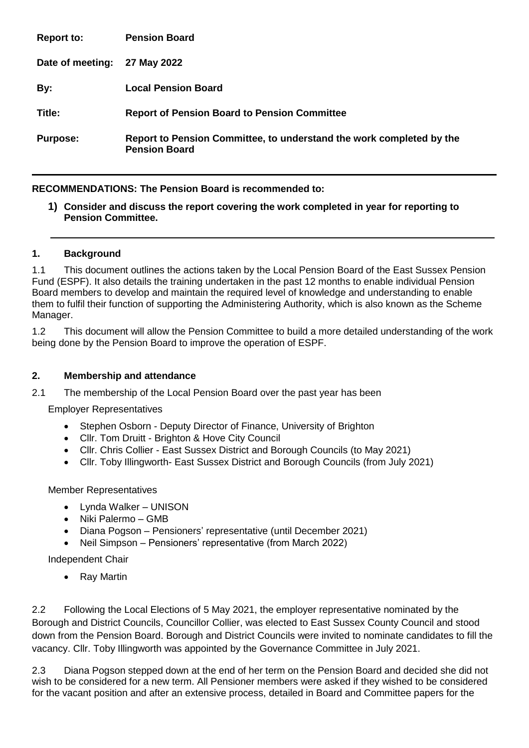| <b>Report to:</b> | <b>Pension Board</b>                                                                         |
|-------------------|----------------------------------------------------------------------------------------------|
| Date of meeting:  | 27 May 2022                                                                                  |
| By:               | <b>Local Pension Board</b>                                                                   |
| Title:            | <b>Report of Pension Board to Pension Committee</b>                                          |
| <b>Purpose:</b>   | Report to Pension Committee, to understand the work completed by the<br><b>Pension Board</b> |

## **RECOMMENDATIONS: The Pension Board is recommended to:**

**1) Consider and discuss the report covering the work completed in year for reporting to Pension Committee.**

#### **1. Background**

1.1 This document outlines the actions taken by the Local Pension Board of the East Sussex Pension Fund (ESPF). It also details the training undertaken in the past 12 months to enable individual Pension Board members to develop and maintain the required level of knowledge and understanding to enable them to fulfil their function of supporting the Administering Authority, which is also known as the Scheme Manager.

1.2 This document will allow the Pension Committee to build a more detailed understanding of the work being done by the Pension Board to improve the operation of ESPF.

#### **2. Membership and attendance**

2.1 The membership of the Local Pension Board over the past year has been

Employer Representatives

- Stephen Osborn Deputy Director of Finance, University of Brighton
- Cllr. Tom Druitt Brighton & Hove City Council
- Cllr. Chris Collier East Sussex District and Borough Councils (to May 2021)
- Cllr. Toby Illingworth- East Sussex District and Borough Councils (from July 2021)

Member Representatives

- Lynda Walker UNISON
- Niki Palermo GMB
- Diana Pogson Pensioners' representative (until December 2021)
- Neil Simpson Pensioners' representative (from March 2022)

Independent Chair

• Ray Martin

2.2 Following the Local Elections of 5 May 2021, the employer representative nominated by the Borough and District Councils, Councillor Collier, was elected to East Sussex County Council and stood down from the Pension Board. Borough and District Councils were invited to nominate candidates to fill the vacancy. Cllr. Toby Illingworth was appointed by the Governance Committee in July 2021.

2.3 Diana Pogson stepped down at the end of her term on the Pension Board and decided she did not wish to be considered for a new term. All Pensioner members were asked if they wished to be considered for the vacant position and after an extensive process, detailed in Board and Committee papers for the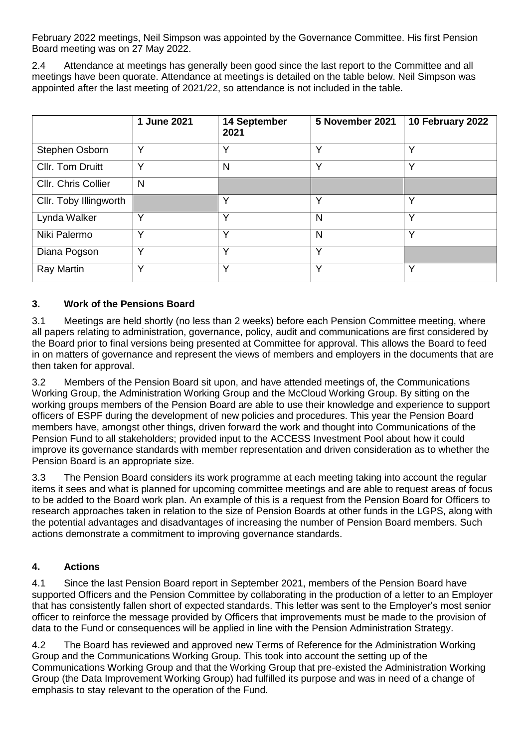February 2022 meetings, Neil Simpson was appointed by the Governance Committee. His first Pension Board meeting was on 27 May 2022.

2.4 Attendance at meetings has generally been good since the last report to the Committee and all meetings have been quorate. Attendance at meetings is detailed on the table below. Neil Simpson was appointed after the last meeting of 2021/22, so attendance is not included in the table.

|                        | 1 June 2021  | 14 September<br>2021 | 5 November 2021 | 10 February 2022 |
|------------------------|--------------|----------------------|-----------------|------------------|
| Stephen Osborn         | Y            | $\checkmark$         | Υ               | $\checkmark$     |
| Cllr. Tom Druitt       | Υ            | N                    | Y               | $\checkmark$     |
| Cllr. Chris Collier    | N            |                      |                 |                  |
| Cllr. Toby Illingworth |              | $\checkmark$         | Υ               | $\checkmark$     |
| Lynda Walker           | Υ            | ◡                    | N               | v                |
| Niki Palermo           | v            | v                    | N               | v                |
| Diana Pogson           | v            | v                    | Υ               |                  |
| Ray Martin             | $\checkmark$ | $\checkmark$         | Υ               | v                |

## **3. Work of the Pensions Board**

3.1 Meetings are held shortly (no less than 2 weeks) before each Pension Committee meeting, where all papers relating to administration, governance, policy, audit and communications are first considered by the Board prior to final versions being presented at Committee for approval. This allows the Board to feed in on matters of governance and represent the views of members and employers in the documents that are then taken for approval.

3.2 Members of the Pension Board sit upon, and have attended meetings of, the Communications Working Group, the Administration Working Group and the McCloud Working Group. By sitting on the working groups members of the Pension Board are able to use their knowledge and experience to support officers of ESPF during the development of new policies and procedures. This year the Pension Board members have, amongst other things, driven forward the work and thought into Communications of the Pension Fund to all stakeholders; provided input to the ACCESS Investment Pool about how it could improve its governance standards with member representation and driven consideration as to whether the Pension Board is an appropriate size.

3.3 The Pension Board considers its work programme at each meeting taking into account the regular items it sees and what is planned for upcoming committee meetings and are able to request areas of focus to be added to the Board work plan. An example of this is a request from the Pension Board for Officers to research approaches taken in relation to the size of Pension Boards at other funds in the LGPS, along with the potential advantages and disadvantages of increasing the number of Pension Board members. Such actions demonstrate a commitment to improving governance standards.

## **4. Actions**

4.1 Since the last Pension Board report in September 2021, members of the Pension Board have supported Officers and the Pension Committee by collaborating in the production of a letter to an Employer that has consistently fallen short of expected standards. This letter was sent to the Employer's most senior officer to reinforce the message provided by Officers that improvements must be made to the provision of data to the Fund or consequences will be applied in line with the Pension Administration Strategy.

4.2 The Board has reviewed and approved new Terms of Reference for the Administration Working Group and the Communications Working Group. This took into account the setting up of the Communications Working Group and that the Working Group that pre-existed the Administration Working Group (the Data Improvement Working Group) had fulfilled its purpose and was in need of a change of emphasis to stay relevant to the operation of the Fund.